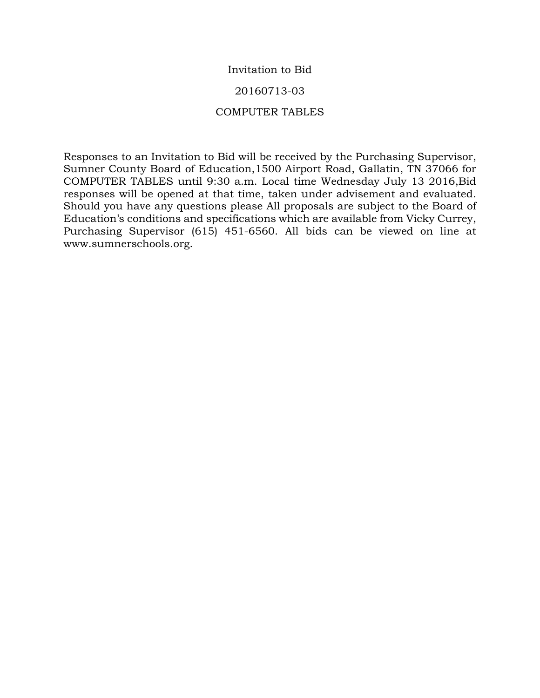## Invitation to Bid

### 20160713-03

## COMPUTER TABLES

Responses to an Invitation to Bid will be received by the Purchasing Supervisor, Sumner County Board of Education,1500 Airport Road, Gallatin, TN 37066 for COMPUTER TABLES until 9:30 a.m. Local time Wednesday July 13 2016,Bid responses will be opened at that time, taken under advisement and evaluated. Should you have any questions please All proposals are subject to the Board of Education's conditions and specifications which are available from Vicky Currey, Purchasing Supervisor (615) 451-6560. All bids can be viewed on line at www.sumnerschools.org.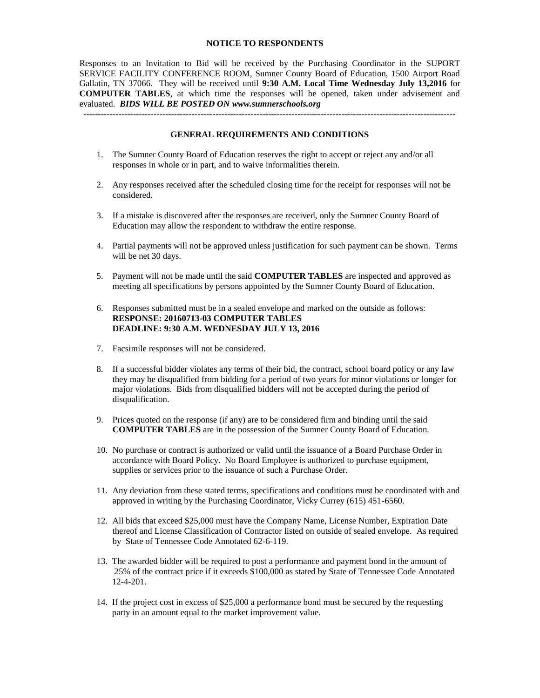#### **NOTICE TO RESPONDENTS**

Responses to an Invitation to Bid will be received by the Purchasing Coordinator in the SUPORT SERVICE FACILITY CONFERENCE ROOM, Sumner County Board of Education, 1500 Airport Road Gallatin, TN 37066. They will be received until **9:30 A.M. Local Time Wednesday July 13,2016** for **COMPUTER TABLES**, at which time the responses will be opened, taken under advisement and evaluated. *BIDS WILL BE POSTED ON www.sumnerschools.org*

#### **GENERAL REQUIREMENTS AND CONDITIONS**

- 1. The Sumner County Board of Education reserves the right to accept or reject any and/or all responses in whole or in part, and to waive informalities therein.
- 2. Any responses received after the scheduled closing time for the receipt for responses will not be considered.
- 3. If a mistake is discovered after the responses are received, only the Sumner County Board of Education may allow the respondent to withdraw the entire response.
- 4. Partial payments will not be approved unless justification for such payment can be shown. Terms will be net 30 days.
- 5. Payment will not be made until the said **COMPUTER TABLES** are inspected and approved as meeting all specifications by persons appointed by the Sumner County Board of Education.
- 6. Responses submitted must be in a sealed envelope and marked on the outside as follows: **RESPONSE: 20160713-03 COMPUTER TABLES DEADLINE: 9:30 A.M. WEDNESDAY JULY 13, 2016**
- 7. Facsimile responses will not be considered.
- 8. If a successful bidder violates any terms of their bid, the contract, school board policy or any law they may be disqualified from bidding for a period of two years for minor violations or longer for major violations. Bids from disqualified bidders will not be accepted during the period of disqualification.
- 9. Prices quoted on the response (if any) are to be considered firm and binding until the said **COMPUTER TABLES** are in the possession of the Sumner County Board of Education.
- 10. No purchase or contract is authorized or valid until the issuance of a Board Purchase Order in accordance with Board Policy. No Board Employee is authorized to purchase equipment, supplies or services prior to the issuance of such a Purchase Order.
- 11. Any deviation from these stated terms, specifications and conditions must be coordinated with and approved in writing by the Purchasing Coordinator, Vicky Currey (615) 451-6560.
- 12. All bids that exceed \$25,000 must have the Company Name, License Number, Expiration Date thereof and License Classification of Contractor listed on outside of sealed envelope. As required by State of Tennessee Code Annotated 62-6-119.
- 13. The awarded bidder will be required to post a performance and payment bond in the amount of 25% of the contract price if it exceeds \$100,000 as stated by State of Tennessee Code Annotated 12-4-201.
- 14. If the project cost in excess of \$25,000 a performance bond must be secured by the requesting party in an amount equal to the market improvement value.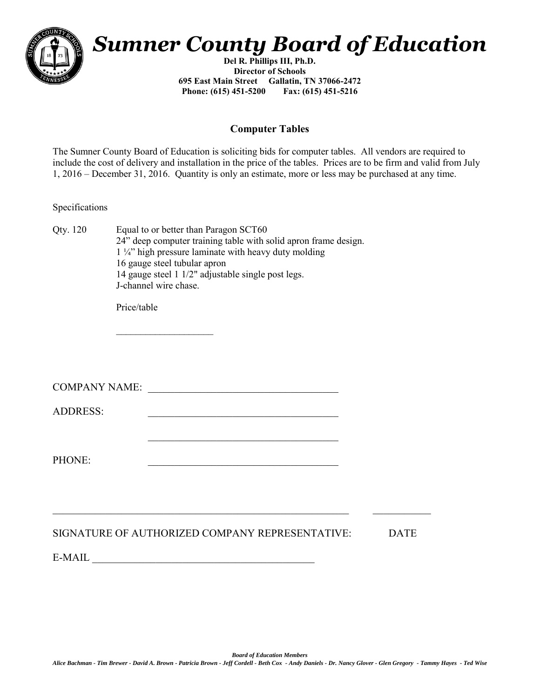

# *Sumner County Board of Education*

**Del R. Phillips III, Ph.D. Director of Schools 695 East Main Street Gallatin, TN 37066-2472 Phone: (615) 451-5200 Fax: (615) 451-5216** 

# **Computer Tables**

The Sumner County Board of Education is soliciting bids for computer tables. All vendors are required to include the cost of delivery and installation in the price of the tables. Prices are to be firm and valid from July 1, 2016 – December 31, 2016. Quantity is only an estimate, more or less may be purchased at any time.

Specifications

| Oty. 120 | Equal to or better than Paragon SCT60                           |
|----------|-----------------------------------------------------------------|
|          | 24" deep computer training table with solid apron frame design. |
|          | $1\frac{1}{4}$ high pressure laminate with heavy duty molding   |
|          | 16 gauge steel tubular apron                                    |
|          | 14 gauge steel 1 1/2" adjustable single post legs.              |
|          | J-channel wire chase.                                           |

Price/table

COMPANY NAME: \_\_\_\_\_\_\_\_\_\_\_\_\_\_\_\_\_\_\_\_\_\_\_\_\_\_\_\_\_\_\_\_\_\_\_\_

 $\mathcal{L}_\text{max}$  and  $\mathcal{L}_\text{max}$  and  $\mathcal{L}_\text{max}$  and  $\mathcal{L}_\text{max}$  and  $\mathcal{L}_\text{max}$ 

 $\mathcal{L}_\text{max}$ 

ADDRESS: \_\_\_\_\_\_\_\_\_\_\_\_\_\_\_\_\_\_\_\_\_\_\_\_\_\_\_\_\_\_\_\_\_\_\_\_

PHONE:

# SIGNATURE OF AUTHORIZED COMPANY REPRESENTATIVE: DATE

 $\_$  , and the contribution of the contribution of  $\mathcal{L}_\mathcal{A}$  , and the contribution of  $\mathcal{L}_\mathcal{A}$ 

 $E\text{-}{\text{MAIL}}$